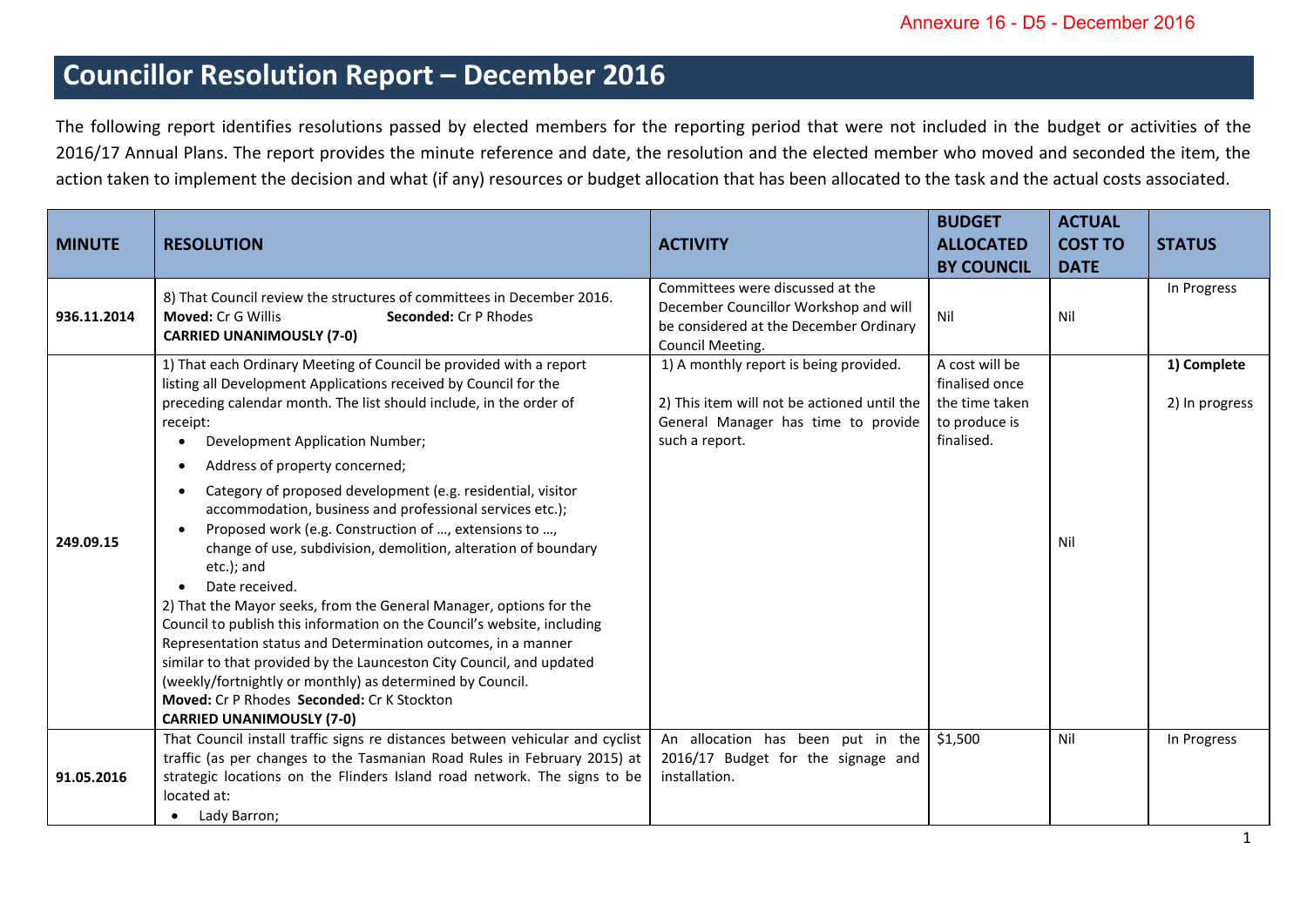## **Councillor Resolution Report – December 2016**

The following report identifies resolutions passed by elected members for the reporting period that were not included in the budget or activities of the 2016/17 Annual Plans. The report provides the minute reference and date, the resolution and the elected member who moved and seconded the item, the action taken to implement the decision and what (if any) resources or budget allocation that has been allocated to the task and the actual costs associated.

| <b>MINUTE</b> | <b>RESOLUTION</b>                                                                                                                                                                                                                                                                                                                                                                                                                                                                                                                                                                                                                                                                                                                                                                                                                                                                                                                                                                                                                         | <b>ACTIVITY</b>                                                                                                                                | <b>BUDGET</b><br><b>ALLOCATED</b><br><b>BY COUNCIL</b>                            | <b>ACTUAL</b><br><b>COST TO</b><br><b>DATE</b> | <b>STATUS</b>                 |
|---------------|-------------------------------------------------------------------------------------------------------------------------------------------------------------------------------------------------------------------------------------------------------------------------------------------------------------------------------------------------------------------------------------------------------------------------------------------------------------------------------------------------------------------------------------------------------------------------------------------------------------------------------------------------------------------------------------------------------------------------------------------------------------------------------------------------------------------------------------------------------------------------------------------------------------------------------------------------------------------------------------------------------------------------------------------|------------------------------------------------------------------------------------------------------------------------------------------------|-----------------------------------------------------------------------------------|------------------------------------------------|-------------------------------|
| 936.11.2014   | 8) That Council review the structures of committees in December 2016.<br><b>Moved: Cr G Willis</b><br><b>Seconded: Cr P Rhodes</b><br><b>CARRIED UNANIMOUSLY (7-0)</b>                                                                                                                                                                                                                                                                                                                                                                                                                                                                                                                                                                                                                                                                                                                                                                                                                                                                    | Committees were discussed at the<br>December Councillor Workshop and will<br>be considered at the December Ordinary<br>Council Meeting.        | Nil                                                                               | Nil                                            | In Progress                   |
| 249.09.15     | 1) That each Ordinary Meeting of Council be provided with a report<br>listing all Development Applications received by Council for the<br>preceding calendar month. The list should include, in the order of<br>receipt:<br>Development Application Number;<br>Address of property concerned;<br>Category of proposed development (e.g. residential, visitor<br>accommodation, business and professional services etc.);<br>Proposed work (e.g. Construction of , extensions to ,<br>change of use, subdivision, demolition, alteration of boundary<br>etc.); and<br>Date received.<br>$\bullet$<br>2) That the Mayor seeks, from the General Manager, options for the<br>Council to publish this information on the Council's website, including<br>Representation status and Determination outcomes, in a manner<br>similar to that provided by the Launceston City Council, and updated<br>(weekly/fortnightly or monthly) as determined by Council.<br>Moved: Cr P Rhodes Seconded: Cr K Stockton<br><b>CARRIED UNANIMOUSLY (7-0)</b> | 1) A monthly report is being provided.<br>2) This item will not be actioned until the<br>General Manager has time to provide<br>such a report. | A cost will be<br>finalised once<br>the time taken<br>to produce is<br>finalised. | Nil                                            | 1) Complete<br>2) In progress |
| 91.05.2016    | That Council install traffic signs re distances between vehicular and cyclist<br>traffic (as per changes to the Tasmanian Road Rules in February 2015) at<br>strategic locations on the Flinders Island road network. The signs to be<br>located at:<br>Lady Barron;                                                                                                                                                                                                                                                                                                                                                                                                                                                                                                                                                                                                                                                                                                                                                                      | An allocation has been put in the<br>2016/17 Budget for the signage and<br>installation.                                                       | \$1,500                                                                           | Nil                                            | In Progress                   |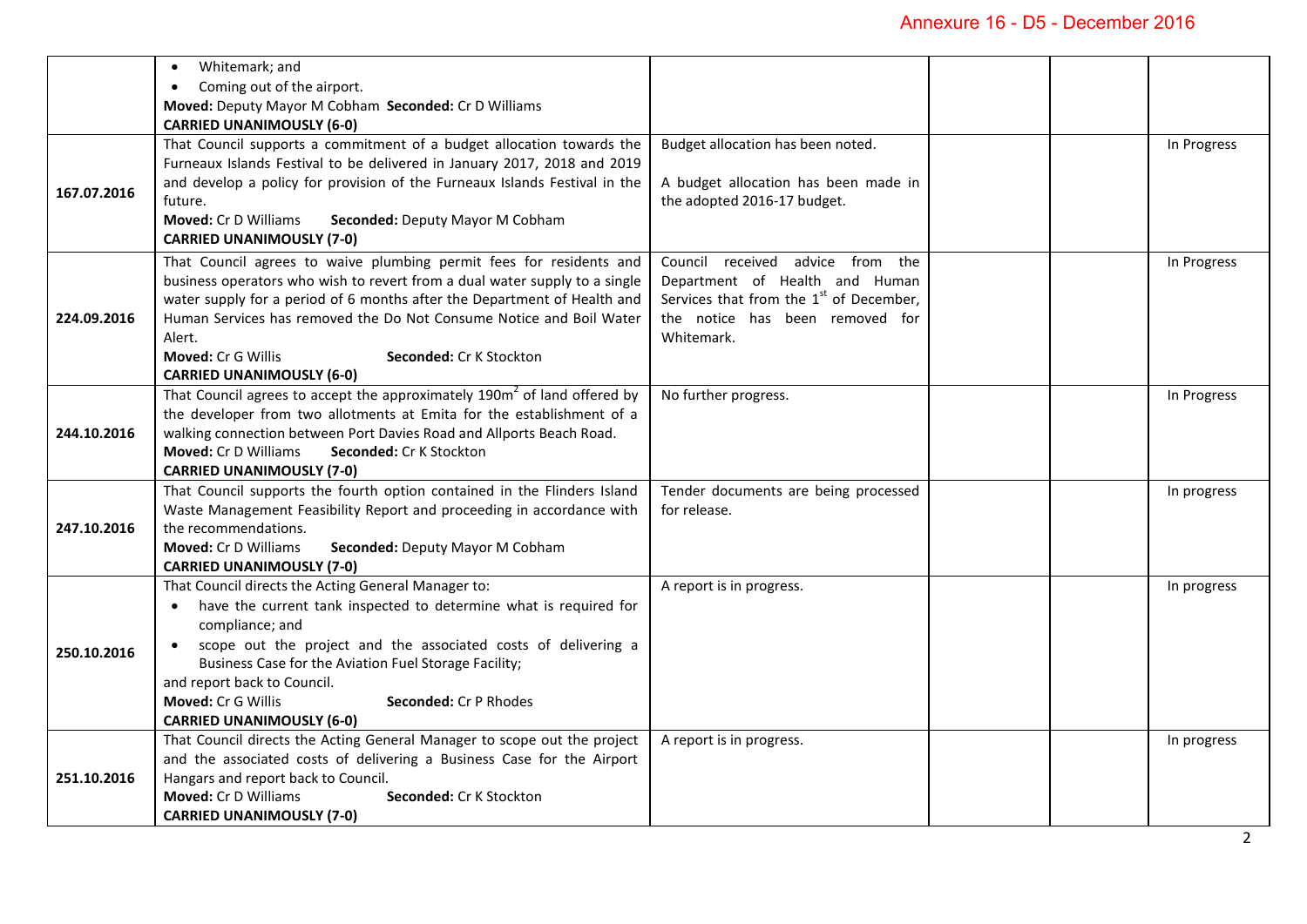| In Progress |
|-------------|
|             |
|             |
|             |
|             |
|             |
|             |
|             |
|             |
|             |
|             |
| In Progress |
|             |
|             |
|             |
|             |
|             |
| In Progress |
|             |
|             |
|             |
|             |
| In progress |
|             |
|             |
|             |
|             |
| In progress |
|             |
|             |
|             |
|             |
|             |
|             |
| In progress |
|             |
|             |
|             |
|             |
|             |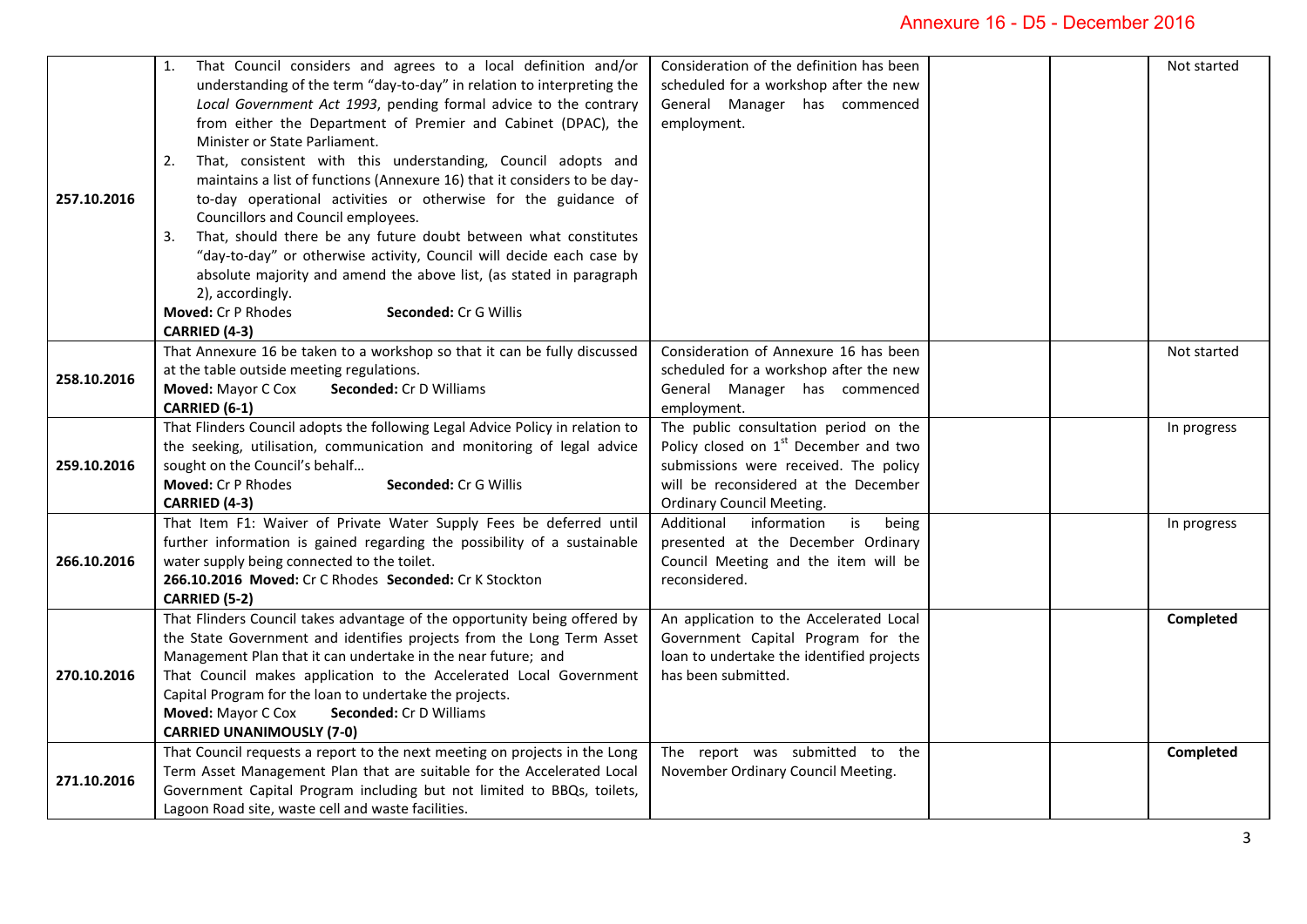## Annexure 16 - D5 - December 2016

| 257.10.2016 | That Council considers and agrees to a local definition and/or<br>1.<br>understanding of the term "day-to-day" in relation to interpreting the<br>Local Government Act 1993, pending formal advice to the contrary<br>from either the Department of Premier and Cabinet (DPAC), the<br>Minister or State Parliament.<br>That, consistent with this understanding, Council adopts and<br>2.<br>maintains a list of functions (Annexure 16) that it considers to be day-<br>to-day operational activities or otherwise for the guidance of<br>Councillors and Council employees.<br>That, should there be any future doubt between what constitutes<br>3.<br>"day-to-day" or otherwise activity, Council will decide each case by<br>absolute majority and amend the above list, (as stated in paragraph<br>2), accordingly.<br>Moved: Cr P Rhodes<br>Seconded: Cr G Willis<br>CARRIED (4-3) | Consideration of the definition has been<br>scheduled for a workshop after the new<br>General Manager has commenced<br>employment.                                                                    | Not started |
|-------------|--------------------------------------------------------------------------------------------------------------------------------------------------------------------------------------------------------------------------------------------------------------------------------------------------------------------------------------------------------------------------------------------------------------------------------------------------------------------------------------------------------------------------------------------------------------------------------------------------------------------------------------------------------------------------------------------------------------------------------------------------------------------------------------------------------------------------------------------------------------------------------------------|-------------------------------------------------------------------------------------------------------------------------------------------------------------------------------------------------------|-------------|
| 258.10.2016 | That Annexure 16 be taken to a workshop so that it can be fully discussed<br>at the table outside meeting regulations.<br>Moved: Mayor C Cox<br>Seconded: Cr D Williams<br>CARRIED (6-1)                                                                                                                                                                                                                                                                                                                                                                                                                                                                                                                                                                                                                                                                                                   | Consideration of Annexure 16 has been<br>scheduled for a workshop after the new<br>General Manager has commenced<br>employment.                                                                       | Not started |
| 259.10.2016 | That Flinders Council adopts the following Legal Advice Policy in relation to<br>the seeking, utilisation, communication and monitoring of legal advice<br>sought on the Council's behalf<br>Moved: Cr P Rhodes<br>Seconded: Cr G Willis<br>CARRIED (4-3)                                                                                                                                                                                                                                                                                                                                                                                                                                                                                                                                                                                                                                  | The public consultation period on the<br>Policy closed on $1st$ December and two<br>submissions were received. The policy<br>will be reconsidered at the December<br><b>Ordinary Council Meeting.</b> | In progress |
| 266.10.2016 | That Item F1: Waiver of Private Water Supply Fees be deferred until<br>further information is gained regarding the possibility of a sustainable<br>water supply being connected to the toilet.<br>266.10.2016 Moved: Cr C Rhodes Seconded: Cr K Stockton<br>CARRIED (5-2)                                                                                                                                                                                                                                                                                                                                                                                                                                                                                                                                                                                                                  | is<br>information<br>being<br>Additional<br>presented at the December Ordinary<br>Council Meeting and the item will be<br>reconsidered.                                                               | In progress |
| 270.10.2016 | That Flinders Council takes advantage of the opportunity being offered by<br>the State Government and identifies projects from the Long Term Asset<br>Management Plan that it can undertake in the near future; and<br>That Council makes application to the Accelerated Local Government<br>Capital Program for the loan to undertake the projects.<br>Moved: Mayor C Cox<br>Seconded: Cr D Williams<br><b>CARRIED UNANIMOUSLY (7-0)</b>                                                                                                                                                                                                                                                                                                                                                                                                                                                  | An application to the Accelerated Local<br>Government Capital Program for the<br>loan to undertake the identified projects<br>has been submitted.                                                     | Completed   |
| 271.10.2016 | That Council requests a report to the next meeting on projects in the Long<br>Term Asset Management Plan that are suitable for the Accelerated Local<br>Government Capital Program including but not limited to BBQs, toilets,<br>Lagoon Road site, waste cell and waste facilities.                                                                                                                                                                                                                                                                                                                                                                                                                                                                                                                                                                                                       | The report was submitted to the<br>November Ordinary Council Meeting.                                                                                                                                 | Completed   |